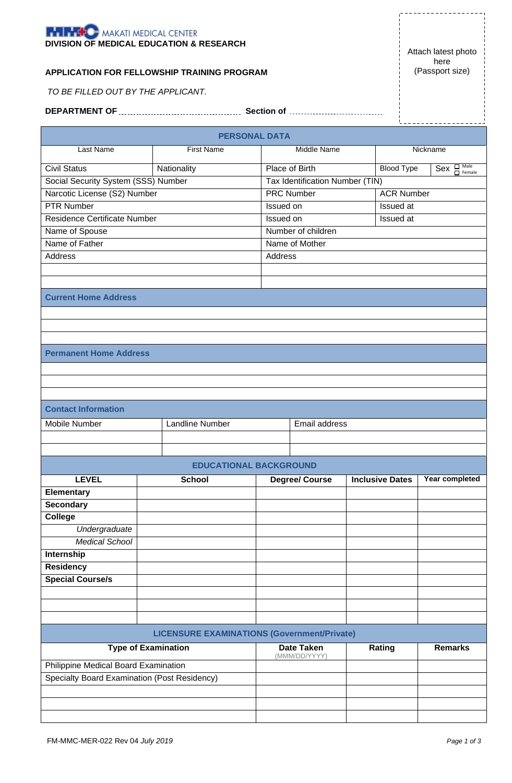|                                              |                        | <b>PERSONAL DATA</b>                               |                                 |                                       |                   |  |  |
|----------------------------------------------|------------------------|----------------------------------------------------|---------------------------------|---------------------------------------|-------------------|--|--|
| Last Name                                    | <b>First Name</b>      |                                                    | Middle Name<br>Nickname         |                                       |                   |  |  |
| <b>Civil Status</b>                          | Nationality            |                                                    | Place of Birth                  | <b>Blood Type</b>                     | $Sex$ $\Box$ Male |  |  |
| Social Security System (SSS) Number          |                        |                                                    | Tax Identification Number (TIN) |                                       |                   |  |  |
| Narcotic License (S2) Number                 |                        |                                                    | <b>PRC Number</b>               |                                       | <b>ACR Number</b> |  |  |
| <b>PTR Number</b>                            |                        |                                                    | Issued on                       |                                       | Issued at         |  |  |
| <b>Residence Certificate Number</b>          |                        |                                                    | Issued on<br>Issued at          |                                       |                   |  |  |
| Name of Spouse                               |                        |                                                    | Number of children              |                                       |                   |  |  |
| Name of Father                               |                        |                                                    | Name of Mother                  |                                       |                   |  |  |
| Address                                      |                        |                                                    | Address                         |                                       |                   |  |  |
|                                              |                        |                                                    |                                 |                                       |                   |  |  |
|                                              |                        |                                                    |                                 |                                       |                   |  |  |
| <b>Current Home Address</b>                  |                        |                                                    |                                 |                                       |                   |  |  |
|                                              |                        |                                                    |                                 |                                       |                   |  |  |
|                                              |                        |                                                    |                                 |                                       |                   |  |  |
|                                              |                        |                                                    |                                 |                                       |                   |  |  |
| <b>Permanent Home Address</b>                |                        |                                                    |                                 |                                       |                   |  |  |
|                                              |                        |                                                    |                                 |                                       |                   |  |  |
|                                              |                        |                                                    |                                 |                                       |                   |  |  |
|                                              |                        |                                                    |                                 |                                       |                   |  |  |
| <b>Contact Information</b>                   |                        |                                                    |                                 |                                       |                   |  |  |
| Mobile Number                                | <b>Landline Number</b> |                                                    |                                 |                                       |                   |  |  |
|                                              |                        |                                                    | Email address                   |                                       |                   |  |  |
|                                              |                        |                                                    |                                 |                                       |                   |  |  |
|                                              |                        |                                                    |                                 |                                       |                   |  |  |
|                                              |                        | <b>EDUCATIONAL BACKGROUND</b>                      |                                 |                                       |                   |  |  |
| <b>LEVEL</b>                                 | <b>School</b>          |                                                    | <b>Degree/ Course</b>           | <b>Inclusive Dates Year completed</b> |                   |  |  |
| <b>Elementary</b>                            |                        |                                                    |                                 |                                       |                   |  |  |
| <b>Secondary</b><br><b>College</b>           |                        |                                                    |                                 |                                       |                   |  |  |
|                                              |                        |                                                    |                                 |                                       |                   |  |  |
| Undergraduate<br><b>Medical School</b>       |                        |                                                    |                                 |                                       |                   |  |  |
| <b>Internship</b>                            |                        |                                                    |                                 |                                       |                   |  |  |
| <b>Residency</b>                             |                        |                                                    |                                 |                                       |                   |  |  |
| <b>Special Course/s</b>                      |                        |                                                    |                                 |                                       |                   |  |  |
|                                              |                        |                                                    |                                 |                                       |                   |  |  |
|                                              |                        |                                                    |                                 |                                       |                   |  |  |
|                                              |                        |                                                    |                                 |                                       |                   |  |  |
|                                              |                        | <b>LICENSURE EXAMINATIONS (Government/Private)</b> |                                 |                                       |                   |  |  |
| <b>Type of Examination</b>                   |                        |                                                    | <b>Date Taken</b>               | Rating                                | <b>Remarks</b>    |  |  |
| Philippine Medical Board Examination         |                        |                                                    | (MMM/DD/YYYY)                   |                                       |                   |  |  |
| Specialty Board Examination (Post Residency) |                        |                                                    |                                 |                                       |                   |  |  |
|                                              |                        |                                                    |                                 |                                       |                   |  |  |
|                                              |                        |                                                    |                                 |                                       |                   |  |  |
|                                              |                        |                                                    |                                 |                                       |                   |  |  |



*TO BE FILLED OUT BY THE APPLICANT.*

Attach latest photo here (Passport size)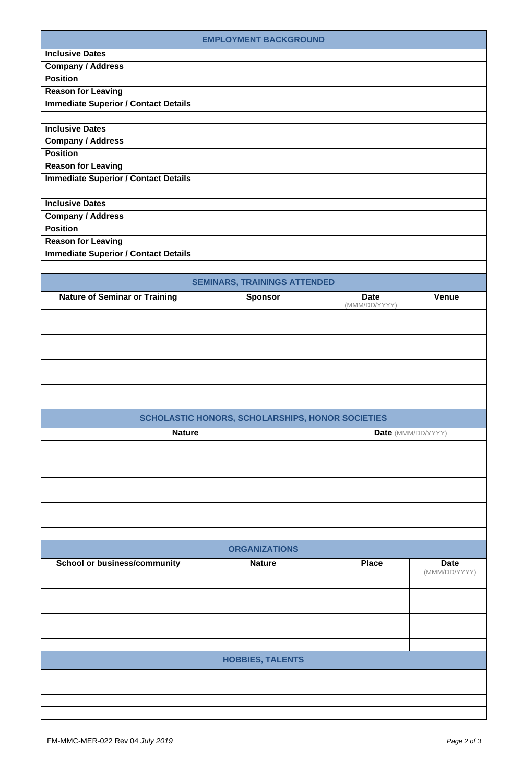|                                             | <b>EMPLOYMENT BACKGROUND</b>                     |               |                    |
|---------------------------------------------|--------------------------------------------------|---------------|--------------------|
| <b>Inclusive Dates</b>                      |                                                  |               |                    |
| <b>Company / Address</b>                    |                                                  |               |                    |
| <b>Position</b>                             |                                                  |               |                    |
| <b>Reason for Leaving</b>                   |                                                  |               |                    |
| <b>Immediate Superior / Contact Details</b> |                                                  |               |                    |
|                                             |                                                  |               |                    |
| <b>Inclusive Dates</b>                      |                                                  |               |                    |
| <b>Company / Address</b>                    |                                                  |               |                    |
| <b>Position</b>                             |                                                  |               |                    |
|                                             |                                                  |               |                    |
| <b>Reason for Leaving</b>                   |                                                  |               |                    |
| <b>Immediate Superior / Contact Details</b> |                                                  |               |                    |
|                                             |                                                  |               |                    |
| <b>Inclusive Dates</b>                      |                                                  |               |                    |
| <b>Company / Address</b>                    |                                                  |               |                    |
| <b>Position</b>                             |                                                  |               |                    |
| <b>Reason for Leaving</b>                   |                                                  |               |                    |
| <b>Immediate Superior / Contact Details</b> |                                                  |               |                    |
|                                             |                                                  |               |                    |
|                                             | <b>SEMINARS, TRAININGS ATTENDED</b>              |               |                    |
|                                             |                                                  | <b>Date</b>   |                    |
| <b>Nature of Seminar or Training</b>        | <b>Sponsor</b>                                   | (MMM/DD/YYYY) | <b>Venue</b>       |
|                                             |                                                  |               |                    |
|                                             |                                                  |               |                    |
|                                             |                                                  |               |                    |
|                                             |                                                  |               |                    |
|                                             |                                                  |               |                    |
|                                             |                                                  |               |                    |
|                                             |                                                  |               |                    |
|                                             |                                                  |               |                    |
|                                             |                                                  |               |                    |
|                                             | SCHOLASTIC HONORS, SCHOLARSHIPS, HONOR SOCIETIES |               |                    |
| <b>Nature</b>                               |                                                  |               | Date (MMM/DD/YYYY) |
|                                             |                                                  |               |                    |
|                                             |                                                  |               |                    |
|                                             |                                                  |               |                    |
|                                             |                                                  |               |                    |
|                                             |                                                  |               |                    |
|                                             |                                                  |               |                    |
|                                             |                                                  |               |                    |
|                                             |                                                  |               |                    |
|                                             |                                                  |               |                    |
|                                             | <b>ORGANIZATIONS</b>                             |               |                    |
| <b>School or business/community</b>         | <b>Nature</b>                                    | <b>Place</b>  | <b>Date</b>        |
|                                             |                                                  |               | (MMM/DD/YYYY)      |
|                                             |                                                  |               |                    |
|                                             |                                                  |               |                    |
|                                             |                                                  |               |                    |
|                                             |                                                  |               |                    |
|                                             |                                                  |               |                    |
|                                             |                                                  |               |                    |
|                                             | <b>HOBBIES, TALENTS</b>                          |               |                    |
|                                             |                                                  |               |                    |
|                                             |                                                  |               |                    |
|                                             |                                                  |               |                    |
|                                             |                                                  |               |                    |
|                                             |                                                  |               |                    |